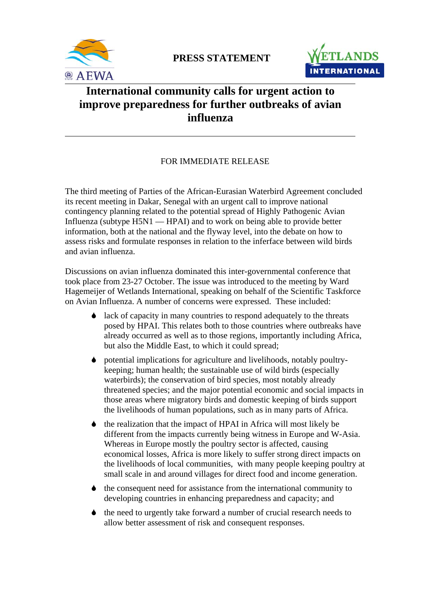



# **International community calls for urgent action to improve preparedness for further outbreaks of avian influenza**

## FOR IMMEDIATE RELEASE

The third meeting of Parties of the African-Eurasian Waterbird Agreement concluded its recent meeting in Dakar, Senegal with an urgent call to improve national contingency planning related to the potential spread of Highly Pathogenic Avian Influenza (subtype H5N1 — HPAI) and to work on being able to provide better information, both at the national and the flyway level, into the debate on how to assess risks and formulate responses in relation to the inferface between wild birds and avian influenza.

Discussions on avian influenza dominated this inter-governmental conference that took place from 23-27 October. The issue was introduced to the meeting by Ward Hagemeijer of Wetlands International, speaking on behalf of the Scientific Taskforce on Avian Influenza. A number of concerns were expressed. These included:

- 6 lack of capacity in many countries to respond adequately to the threats posed by HPAI. This relates both to those countries where outbreaks have already occurred as well as to those regions, importantly including Africa, but also the Middle East, to which it could spread;
- 6 potential implications for agriculture and livelihoods, notably poultrykeeping; human health; the sustainable use of wild birds (especially waterbirds); the conservation of bird species, most notably already threatened species; and the major potential economic and social impacts in those areas where migratory birds and domestic keeping of birds support the livelihoods of human populations, such as in many parts of Africa.
- 6 the realization that the impact of HPAI in Africa will most likely be different from the impacts currently being witness in Europe and W-Asia. Whereas in Europe mostly the poultry sector is affected, causing economical losses, Africa is more likely to suffer strong direct impacts on the livelihoods of local communities, with many people keeping poultry at small scale in and around villages for direct food and income generation.
- 6 the consequent need for assistance from the international community to developing countries in enhancing preparedness and capacity; and
- $\bullet$  the need to urgently take forward a number of crucial research needs to allow better assessment of risk and consequent responses.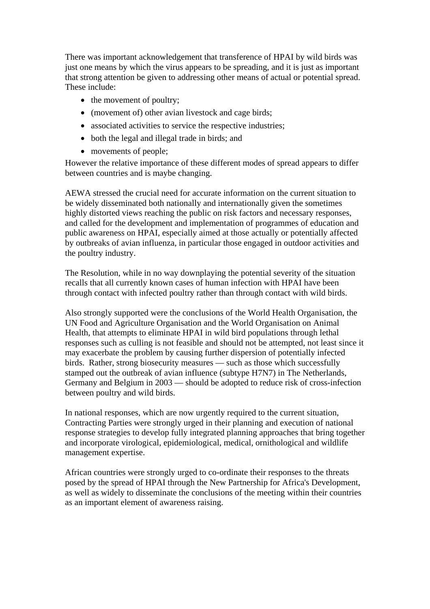There was important acknowledgement that transference of HPAI by wild birds was just one means by which the virus appears to be spreading, and it is just as important that strong attention be given to addressing other means of actual or potential spread. These include:

- the movement of poultry;
- (movement of) other avian livestock and cage birds;
- associated activities to service the respective industries;
- both the legal and illegal trade in birds; and
- movements of people;

However the relative importance of these different modes of spread appears to differ between countries and is maybe changing.

AEWA stressed the crucial need for accurate information on the current situation to be widely disseminated both nationally and internationally given the sometimes highly distorted views reaching the public on risk factors and necessary responses, and called for the development and implementation of programmes of education and public awareness on HPAI, especially aimed at those actually or potentially affected by outbreaks of avian influenza, in particular those engaged in outdoor activities and the poultry industry.

The Resolution, while in no way downplaying the potential severity of the situation recalls that all currently known cases of human infection with HPAI have been through contact with infected poultry rather than through contact with wild birds.

Also strongly supported were the conclusions of the World Health Organisation, the UN Food and Agriculture Organisation and the World Organisation on Animal Health, that attempts to eliminate HPAI in wild bird populations through lethal responses such as culling is not feasible and should not be attempted, not least since it may exacerbate the problem by causing further dispersion of potentially infected birds. Rather, strong biosecurity measures — such as those which successfully stamped out the outbreak of avian influence (subtype H7N7) in The Netherlands, Germany and Belgium in 2003 — should be adopted to reduce risk of cross-infection between poultry and wild birds.

In national responses, which are now urgently required to the current situation, Contracting Parties were strongly urged in their planning and execution of national response strategies to develop fully integrated planning approaches that bring together and incorporate virological, epidemiological, medical, ornithological and wildlife management expertise.

African countries were strongly urged to co-ordinate their responses to the threats posed by the spread of HPAI through the New Partnership for Africa's Development, as well as widely to disseminate the conclusions of the meeting within their countries as an important element of awareness raising.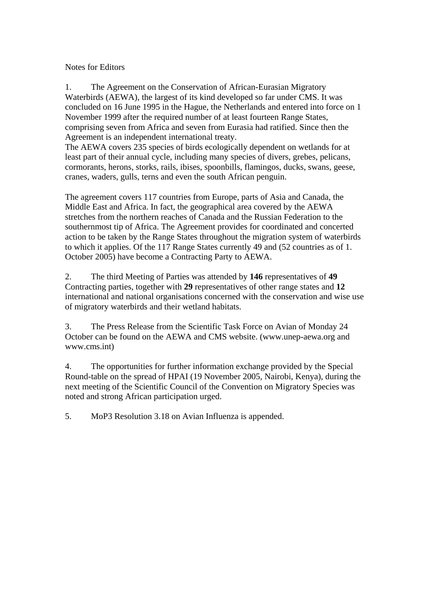Notes for Editors

1. The Agreement on the Conservation of African-Eurasian Migratory Waterbirds (AEWA), the largest of its kind developed so far under CMS. It was concluded on 16 June 1995 in the Hague, the Netherlands and entered into force on 1 November 1999 after the required number of at least fourteen Range States, comprising seven from Africa and seven from Eurasia had ratified. Since then the Agreement is an independent international treaty.

The AEWA covers 235 species of birds ecologically dependent on wetlands for at least part of their annual cycle, including many species of divers, grebes, pelicans, cormorants, herons, storks, rails, ibises, spoonbills, flamingos, ducks, swans, geese, cranes, waders, gulls, terns and even the south African penguin.

The agreement covers 117 countries from Europe, parts of Asia and Canada, the Middle East and Africa. In fact, the geographical area covered by the AEWA stretches from the northern reaches of Canada and the Russian Federation to the southernmost tip of Africa. The Agreement provides for coordinated and concerted action to be taken by the Range States throughout the migration system of waterbirds to which it applies. Of the 117 Range States currently 49 and (52 countries as of 1. October 2005) have become a Contracting Party to AEWA.

2. The third Meeting of Parties was attended by **146** representatives of **49**  Contracting parties, together with **29** representatives of other range states and **12** international and national organisations concerned with the conservation and wise use of migratory waterbirds and their wetland habitats.

3. The Press Release from the Scientific Task Force on Avian of Monday 24 October can be found on the AEWA and CMS website. (www.unep-aewa.org and www.cms.int)

4. The opportunities for further information exchange provided by the Special Round-table on the spread of HPAI (19 November 2005, Nairobi, Kenya), during the next meeting of the Scientific Council of the Convention on Migratory Species was noted and strong African participation urged.

5. MoP3 Resolution 3.18 on Avian Influenza is appended.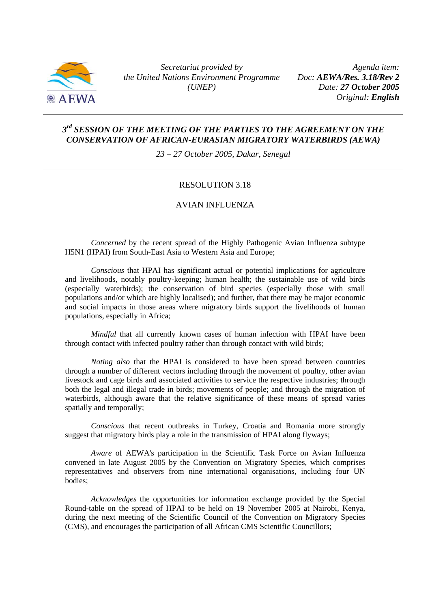

*Secretariat provided by the United Nations Environment Programme (UNEP)*

 *Agenda item: Doc: AEWA/Res. 3.18/Rev 2 Date: 27 October 2005 Original: English*

### *3rd SESSION OF THE MEETING OF THE PARTIES TO THE AGREEMENT ON THE CONSERVATION OF AFRICAN-EURASIAN MIGRATORY WATERBIRDS (AEWA)*

*23 – 27 October 2005, Dakar, Senegal* 

#### RESOLUTION 3.18

## AVIAN INFLUENZA

*Concerned* by the recent spread of the Highly Pathogenic Avian Influenza subtype H5N1 (HPAI) from South-East Asia to Western Asia and Europe;

*Conscious* that HPAI has significant actual or potential implications for agriculture and livelihoods, notably poultry-keeping; human health; the sustainable use of wild birds (especially waterbirds); the conservation of bird species (especially those with small populations and/or which are highly localised); and further, that there may be major economic and social impacts in those areas where migratory birds support the livelihoods of human populations, especially in Africa;

*Mindful* that all currently known cases of human infection with HPAI have been through contact with infected poultry rather than through contact with wild birds;

*Noting also* that the HPAI is considered to have been spread between countries through a number of different vectors including through the movement of poultry, other avian livestock and cage birds and associated activities to service the respective industries; through both the legal and illegal trade in birds; movements of people; and through the migration of waterbirds, although aware that the relative significance of these means of spread varies spatially and temporally;

*Conscious* that recent outbreaks in Turkey, Croatia and Romania more strongly suggest that migratory birds play a role in the transmission of HPAI along flyways;

*Aware* of AEWA's participation in the Scientific Task Force on Avian Influenza convened in late August 2005 by the Convention on Migratory Species, which comprises representatives and observers from nine international organisations, including four UN bodies;

*Acknowledges* the opportunities for information exchange provided by the Special Round-table on the spread of HPAI to be held on 19 November 2005 at Nairobi, Kenya, during the next meeting of the Scientific Council of the Convention on Migratory Species (CMS), and encourages the participation of all African CMS Scientific Councillors;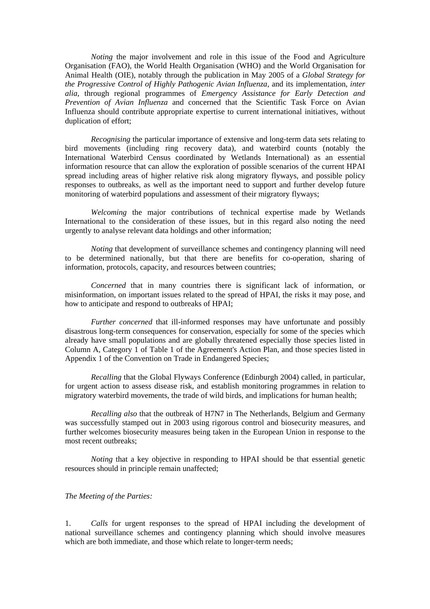*Noting* the major involvement and role in this issue of the Food and Agriculture Organisation (FAO), the World Health Organisation (WHO) and the World Organisation for Animal Health (OIE), notably through the publication in May 2005 of a *Global Strategy for the Progressive Control of Highly Pathogenic Avian Influenza*, and its implementation, *inter alia*, through regional programmes of *Emergency Assistance for Early Detection and Prevention of Avian Influenza* and concerned that the Scientific Task Force on Avian Influenza should contribute appropriate expertise to current international initiatives, without duplication of effort;

*Recognising* the particular importance of extensive and long-term data sets relating to bird movements (including ring recovery data), and waterbird counts (notably the International Waterbird Census coordinated by Wetlands International) as an essential information resource that can allow the exploration of possible scenarios of the current HPAI spread including areas of higher relative risk along migratory flyways, and possible policy responses to outbreaks, as well as the important need to support and further develop future monitoring of waterbird populations and assessment of their migratory flyways;

*Welcoming* the major contributions of technical expertise made by Wetlands International to the consideration of these issues, but in this regard also noting the need urgently to analyse relevant data holdings and other information;

*Noting* that development of surveillance schemes and contingency planning will need to be determined nationally, but that there are benefits for co-operation, sharing of information, protocols, capacity, and resources between countries;

*Concerned* that in many countries there is significant lack of information, or misinformation, on important issues related to the spread of HPAI, the risks it may pose, and how to anticipate and respond to outbreaks of HPAI;

*Further concerned* that ill-informed responses may have unfortunate and possibly disastrous long-term consequences for conservation, especially for some of the species which already have small populations and are globally threatened especially those species listed in Column A, Category 1 of Table 1 of the Agreement's Action Plan, and those species listed in Appendix 1 of the Convention on Trade in Endangered Species;

*Recalling* that the Global Flyways Conference (Edinburgh 2004) called, in particular, for urgent action to assess disease risk, and establish monitoring programmes in relation to migratory waterbird movements, the trade of wild birds, and implications for human health;

*Recalling also* that the outbreak of H7N7 in The Netherlands, Belgium and Germany was successfully stamped out in 2003 using rigorous control and biosecurity measures, and further welcomes biosecurity measures being taken in the European Union in response to the most recent outbreaks;

*Noting* that a key objective in responding to HPAI should be that essential genetic resources should in principle remain unaffected;

#### *The Meeting of the Parties:*

1. *Calls* for urgent responses to the spread of HPAI including the development of national surveillance schemes and contingency planning which should involve measures which are both immediate, and those which relate to longer-term needs;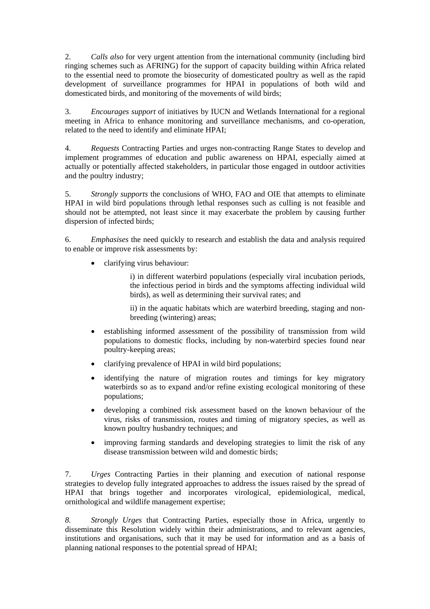2. *Calls also* for very urgent attention from the international community (including bird ringing schemes such as AFRING) for the support of capacity building within Africa related to the essential need to promote the biosecurity of domesticated poultry as well as the rapid development of surveillance programmes for HPAI in populations of both wild and domesticated birds, and monitoring of the movements of wild birds;

3. *Encourages support* of initiatives by IUCN and Wetlands International for a regional meeting in Africa to enhance monitoring and surveillance mechanisms, and co-operation, related to the need to identify and eliminate HPAI;

4. *Requests* Contracting Parties and urges non-contracting Range States to develop and implement programmes of education and public awareness on HPAI, especially aimed at actually or potentially affected stakeholders, in particular those engaged in outdoor activities and the poultry industry;

5. *Strongly supports* the conclusions of WHO, FAO and OIE that attempts to eliminate HPAI in wild bird populations through lethal responses such as culling is not feasible and should not be attempted, not least since it may exacerbate the problem by causing further dispersion of infected birds;

6. *Emphasises* the need quickly to research and establish the data and analysis required to enable or improve risk assessments by:

• clarifying virus behaviour:

i) in different waterbird populations (especially viral incubation periods, the infectious period in birds and the symptoms affecting individual wild birds), as well as determining their survival rates; and

ii) in the aquatic habitats which are waterbird breeding, staging and nonbreeding (wintering) areas;

- establishing informed assessment of the possibility of transmission from wild populations to domestic flocks, including by non-waterbird species found near poultry-keeping areas;
- clarifying prevalence of HPAI in wild bird populations;
- identifying the nature of migration routes and timings for key migratory waterbirds so as to expand and/or refine existing ecological monitoring of these populations;
- developing a combined risk assessment based on the known behaviour of the virus, risks of transmission, routes and timing of migratory species, as well as known poultry husbandry techniques; and
- improving farming standards and developing strategies to limit the risk of any disease transmission between wild and domestic birds;

7. *Urges* Contracting Parties in their planning and execution of national response strategies to develop fully integrated approaches to address the issues raised by the spread of HPAI that brings together and incorporates virological, epidemiological, medical, ornithological and wildlife management expertise;

*8. Strongly Urges* that Contracting Parties, especially those in Africa, urgently to disseminate this Resolution widely within their administrations, and to relevant agencies, institutions and organisations, such that it may be used for information and as a basis of planning national responses to the potential spread of HPAI;